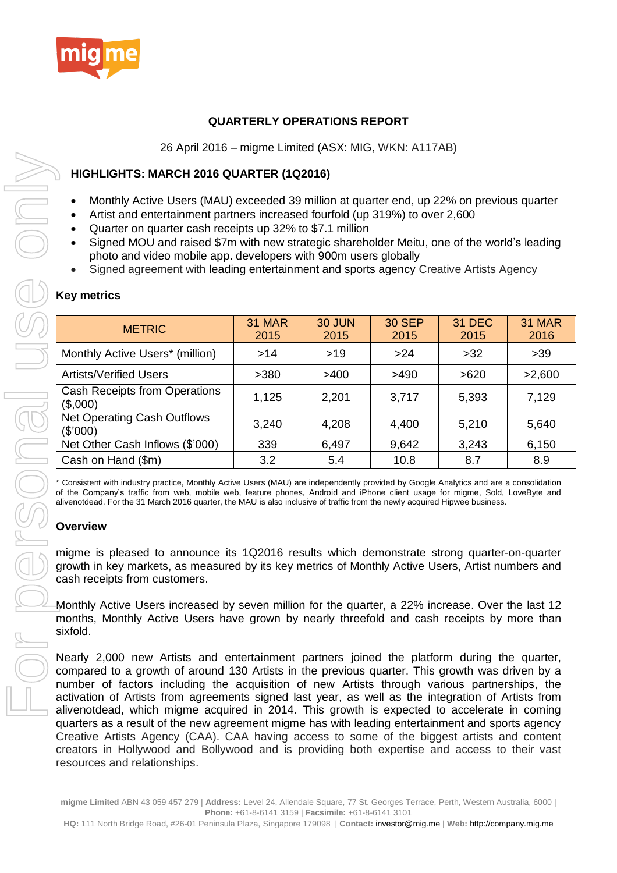

# **QUARTERLY OPERATIONS REPORT**

26 April 2016 – migme Limited (ASX: MIG, WKN: A117AB)

# **HIGHLIGHTS: MARCH 2016 QUARTER (1Q2016)**

- Monthly Active Users (MAU) exceeded 39 million at quarter end, up 22% on previous quarter
- Artist and entertainment partners increased fourfold (up 319%) to over 2,600
- Quarter on quarter cash receipts up 32% to \$7.1 million
- Signed MOU and raised \$7m with new strategic shareholder Meitu, one of the world's leading photo and video mobile app. developers with 900m users globally
- Signed agreement with leading entertainment and sports agency Creative Artists Agency

| <b>METRIC</b>                                    | <b>31 MAR</b><br>2015 | 30 JUN<br>2015 | <b>30 SEP</b><br>2015 | <b>31 DEC</b><br>2015 | <b>31 MAR</b><br>2016 |
|--------------------------------------------------|-----------------------|----------------|-----------------------|-----------------------|-----------------------|
| Monthly Active Users* (million)                  | >14                   | >19            | >24                   | >32                   | >39                   |
| <b>Artists/Verified Users</b>                    | >380                  | >400           | >490                  | >620                  | >2,600                |
| <b>Cash Receipts from Operations</b><br>(\$,000) | 1,125                 | 2,201          | 3,717                 | 5,393                 | 7,129                 |
| Net Operating Cash Outflows<br>(\$'000)          | 3,240                 | 4,208          | 4,400                 | 5,210                 | 5,640                 |
| Net Other Cash Inflows (\$'000)                  | 339                   | 6,497          | 9,642                 | 3,243                 | 6,150                 |
| Cash on Hand (\$m)                               | 3.2                   | 5.4            | 10.8                  | 8.7                   | 8.9                   |

\* Consistent with industry practice, Monthly Active Users (MAU) are independently provided by Google Analytics and are a consolidation of the Company's traffic from web, mobile web, feature phones, Android and iPhone client usage for migme, Sold, LoveByte and alivenotdead. For the 31 March 2016 quarter, the MAU is also inclusive of traffic from the newly acquired Hipwee business.

## **Overview**

migme is pleased to announce its 1Q2016 results which demonstrate strong quarter-on-quarter growth in key markets, as measured by its key metrics of Monthly Active Users, Artist numbers and cash receipts from customers.

Monthly Active Users increased by seven million for the quarter, a 22% increase. Over the last 12 months, Monthly Active Users have grown by nearly threefold and cash receipts by more than sixfold.

Nearly 2,000 new Artists and entertainment partners joined the platform during the quarter, compared to a growth of around 130 Artists in the previous quarter. This growth was driven by a number of factors including the acquisition of new Artists through various partnerships, the activation of Artists from agreements signed last year, as well as the integration of Artists from alivenotdead, which migme acquired in 2014. This growth is expected to accelerate in coming quarters as a result of the new agreement migme has with leading entertainment and sports agency Creative Artists Agency (CAA). CAA having access to some of the biggest artists and content creators in Hollywood and Bollywood and is providing both expertise and access to their vast

**migme Limited** ABN 43 059 457 279 | **Address:** Level 24, Allendale Square, 77 St. Georges Terrace, Perth, Western Australia, 6000 | **Phone:** +61-8-6141 3159 | **Facsimile:** +61-8-6141 3101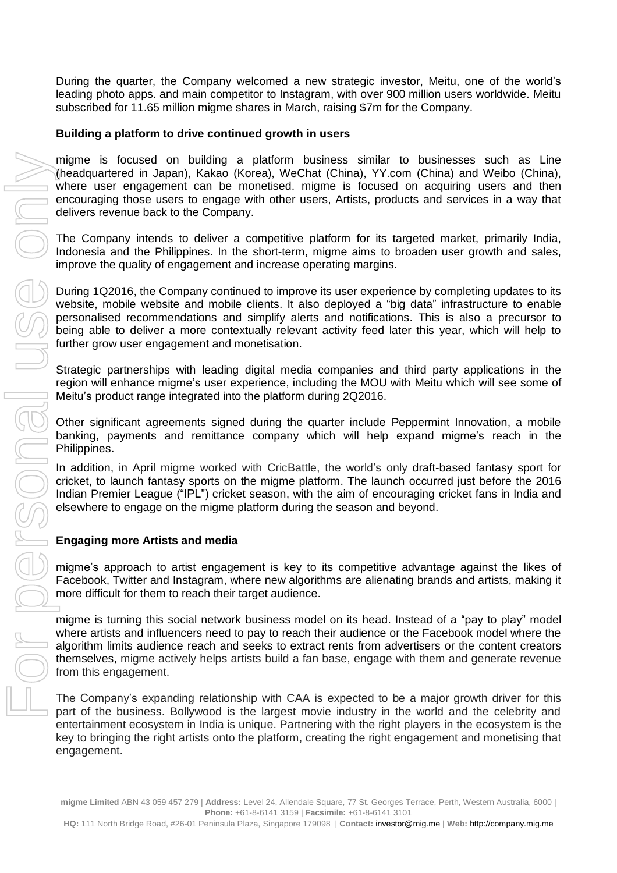During the quarter, the Company welcomed a new strategic investor, Meitu, one of the world's leading photo apps. and main competitor to Instagram, with over 900 million users worldwide. Meitu subscribed for 11.65 million migme shares in March, raising \$7m for the Company.

#### **Building a platform to drive continued growth in users**

migme is focused on building a platform business similar to businesses such as Line (headquartered in Japan), Kakao (Korea), WeChat (China), YY.com (China) and Weibo (China), where user engagement can be monetised. migme is focused on acquiring users and then encouraging those users to engage with other users, Artists, products and services in a way that delivers revenue back to the Company.

The Company intends to deliver a competitive platform for its targeted market, primarily India, Indonesia and the Philippines. In the short-term, migme aims to broaden user growth and sales, improve the quality of engagement and increase operating margins.

During 1Q2016, the Company continued to improve its user experience by completing updates to its website, mobile website and mobile clients. It also deployed a "big data" infrastructure to enable personalised recommendations and simplify alerts and notifications. This is also a precursor to being able to deliver a more contextually relevant activity feed later this year, which will help to further grow user engagement and monetisation.

Strategic partnerships with leading digital media companies and third party applications in the region will enhance migme's user experience, including the MOU with Meitu which will see some of Meitu's product range integrated into the platform during 2Q2016.

Other significant agreements signed during the quarter include Peppermint Innovation, a mobile banking, payments and remittance company which will help expand migme's reach in the Philippines.

In addition, in April migme worked with CricBattle, the world's only draft-based fantasy sport for cricket, to launch fantasy sports on the migme platform. The launch occurred just before the 2016 Indian Premier League ("IPL") cricket season, with the aim of encouraging cricket fans in India and elsewhere to engage on the migme platform during the season and beyond.

## **Engaging more Artists and media**

migme's approach to artist engagement is key to its competitive advantage against the likes of Facebook, Twitter and Instagram, where new algorithms are alienating brands and artists, making it more difficult for them to reach their target audience.

migme is turning this social network business model on its head. Instead of a "pay to play" model where artists and influencers need to pay to reach their audience or the Facebook model where the algorithm limits audience reach and seeks to extract rents from advertisers or the content creators themselves, migme actively helps artists build a fan base, engage with them and generate revenue from this engagement.

The Company's expanding relationship with CAA is expected to be a major growth driver for this part of the business. Bollywood is the largest movie industry in the world and the celebrity and entertainment ecosystem in India is unique. Partnering with the right players in the ecosystem is the key to bringing the right artists onto the platform, creating the right engagement and monetising that engagement.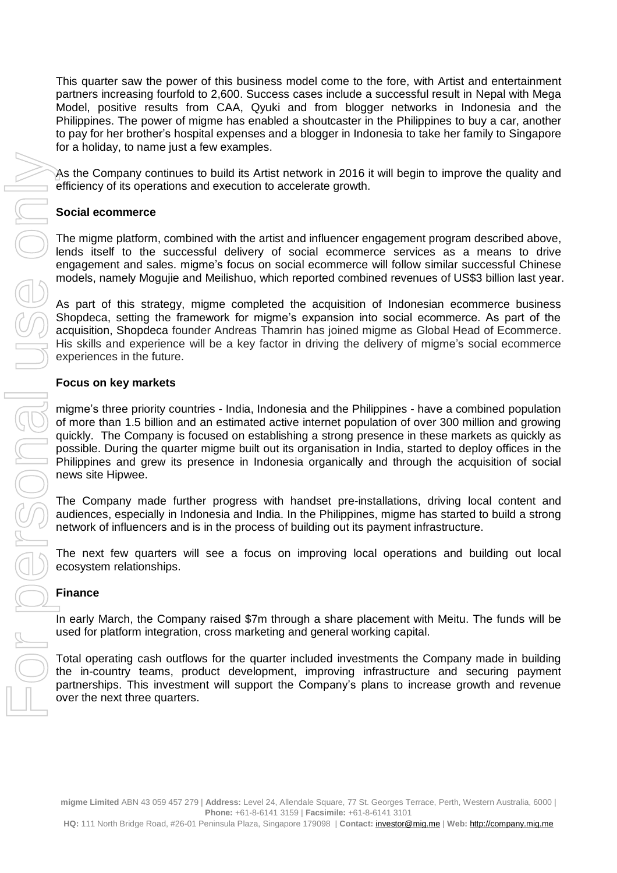This quarter saw the power of this business model come to the fore, with Artist and entertainment partners increasing fourfold to 2,600. Success cases include a successful result in Nepal with Mega Model, positive results from CAA, Qyuki and from blogger networks in Indonesia and the Philippines. The power of migme has enabled a shoutcaster in the Philippines to buy a car, another to pay for her brother's hospital expenses and a blogger in Indonesia to take her family to Singapore for a holiday, to name just a few examples.

As the Company continues to build its Artist network in 2016 it will begin to improve the quality and efficiency of its operations and execution to accelerate growth.

## **Social ecommerce**

The migme platform, combined with the artist and influencer engagement program described above, lends itself to the successful delivery of social ecommerce services as a means to drive engagement and sales. migme's focus on social ecommerce will follow similar successful Chinese models, namely Mogujie and Meilishuo, which reported combined revenues of US\$3 billion last year.

As part of this strategy, migme completed the acquisition of Indonesian ecommerce business Shopdeca, setting the framework for migme's expansion into social ecommerce. As part of the acquisition, Shopdeca founder Andreas Thamrin has joined migme as Global Head of Ecommerce. His skills and experience will be a key factor in driving the delivery of migme's social ecommerce experiences in the future.

#### **Focus on key markets**

migme's three priority countries - India, Indonesia and the Philippines - have a combined population of more than 1.5 billion and an estimated active internet population of over 300 million and growing quickly. The Company is focused on establishing a strong presence in these markets as quickly as possible. During the quarter migme built out its organisation in India, started to deploy offices in the Philippines and grew its presence in Indonesia organically and through the acquisition of social news site Hipwee.

The Company made further progress with handset pre-installations, driving local content and audiences, especially in Indonesia and India. In the Philippines, migme has started to build a strong network of influencers and is in the process of building out its payment infrastructure.

The next few quarters will see a focus on improving local operations and building out local ecosystem relationships.

#### **Finance**

In early March, the Company raised \$7m through a share placement with Meitu. The funds will be used for platform integration, cross marketing and general working capital.

Total operating cash outflows for the quarter included investments the Company made in building the in-country teams, product development, improving infrastructure and securing payment partnerships. This investment will support the Company's plans to increase growth and revenue

**migme Limited** ABN 43 059 457 279 | **Address:** Level 24, Allendale Square, 77 St. Georges Terrace, Perth, Western Australia, 6000 | **Phone:** +61-8-6141 3159 | **Facsimile:** +61-8-6141 3101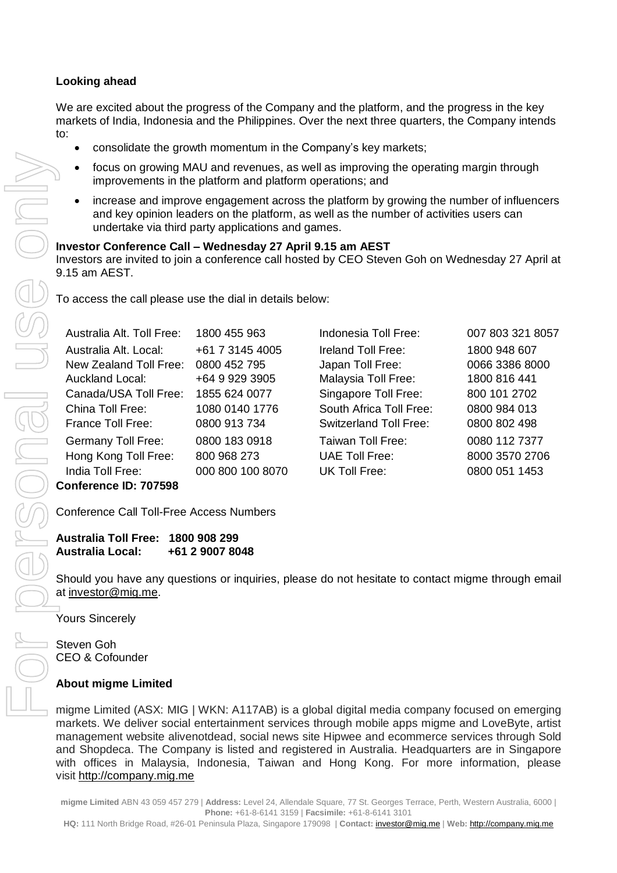# **Looking ahead**

We are excited about the progress of the Company and the platform, and the progress in the key markets of India, Indonesia and the Philippines. Over the next three quarters, the Company intends to:

- consolidate the growth momentum in the Company's key markets;
- focus on growing MAU and revenues, as well as improving the operating margin through improvements in the platform and platform operations; and
- increase and improve engagement across the platform by growing the number of influencers and key opinion leaders on the platform, as well as the number of activities users can undertake via third party applications and games.

|                       | and key opinion leaders on the platform, as well as the number of activities users can<br>undertake via third party applications and games.                                      |                  |                               |                  |  |  |  |  |  |
|-----------------------|----------------------------------------------------------------------------------------------------------------------------------------------------------------------------------|------------------|-------------------------------|------------------|--|--|--|--|--|
|                       | Investor Conference Call - Wednesday 27 April 9.15 am AEST<br>Investors are invited to join a conference call hosted by CEO Steven Goh on Wednesday 27 April at<br>9.15 am AEST. |                  |                               |                  |  |  |  |  |  |
|                       | To access the call please use the dial in details below:                                                                                                                         |                  |                               |                  |  |  |  |  |  |
|                       | Australia Alt. Toll Free:                                                                                                                                                        | 1800 455 963     | Indonesia Toll Free:          | 007 803 321 8057 |  |  |  |  |  |
|                       | Australia Alt. Local:                                                                                                                                                            | +61 7 3145 4005  | Ireland Toll Free:            | 1800 948 607     |  |  |  |  |  |
|                       | New Zealand Toll Free:                                                                                                                                                           | 0800 452 795     | Japan Toll Free:              | 0066 3386 8000   |  |  |  |  |  |
|                       | Auckland Local:                                                                                                                                                                  | +64 9 929 3905   | Malaysia Toll Free:           | 1800 816 441     |  |  |  |  |  |
|                       | Canada/USA Toll Free:                                                                                                                                                            | 1855 624 0077    | Singapore Toll Free:          | 800 101 2702     |  |  |  |  |  |
|                       | China Toll Free:                                                                                                                                                                 | 1080 0140 1776   | South Africa Toll Free:       | 0800 984 013     |  |  |  |  |  |
|                       | France Toll Free:                                                                                                                                                                | 0800 913 734     | <b>Switzerland Toll Free:</b> | 0800 802 498     |  |  |  |  |  |
|                       | Germany Toll Free:                                                                                                                                                               | 0800 183 0918    | Taiwan Toll Free:             | 0080 112 7377    |  |  |  |  |  |
|                       | Hong Kong Toll Free:                                                                                                                                                             | 800 968 273      | <b>UAE Toll Free:</b>         | 8000 3570 2706   |  |  |  |  |  |
|                       | India Toll Free:                                                                                                                                                                 | 000 800 100 8070 | UK Toll Free:                 | 0800 051 1453    |  |  |  |  |  |
| Conference ID: 707598 |                                                                                                                                                                                  |                  |                               |                  |  |  |  |  |  |

Conference Call Toll-Free Access Numbers

# **Australia Toll Free: 1800 908 299 Australia Local: +61 2 9007 8048**

Should you have any questions or inquiries, please do not hesitate to contact migme through email at [investor@mig.me.](mailto:investor@mig.me)

Yours Sincerely

Steven Goh CEO & Cofounder

## **About migme Limited**

migme Limited (ASX: MIG | WKN: A117AB) is a global digital media company focused on emerging markets. We deliver social entertainment services through mobile apps migme and LoveByte, artist management website alivenotdead, social news site Hipwee and ecommerce services through Sold and Shopdeca. The Company is listed and registered in Australia. Headquarters are in Singapore with offices in Malaysia, Indonesia, Taiwan and Hong Kong. For more information, please visit [http://company.mig.me](http://company.mig.me/) 

**migme Limited** ABN 43 059 457 279 | **Address:** Level 24, Allendale Square, 77 St. Georges Terrace, Perth, Western Australia, 6000 | **Phone:** +61-8-6141 3159 | **Facsimile:** +61-8-6141 3101